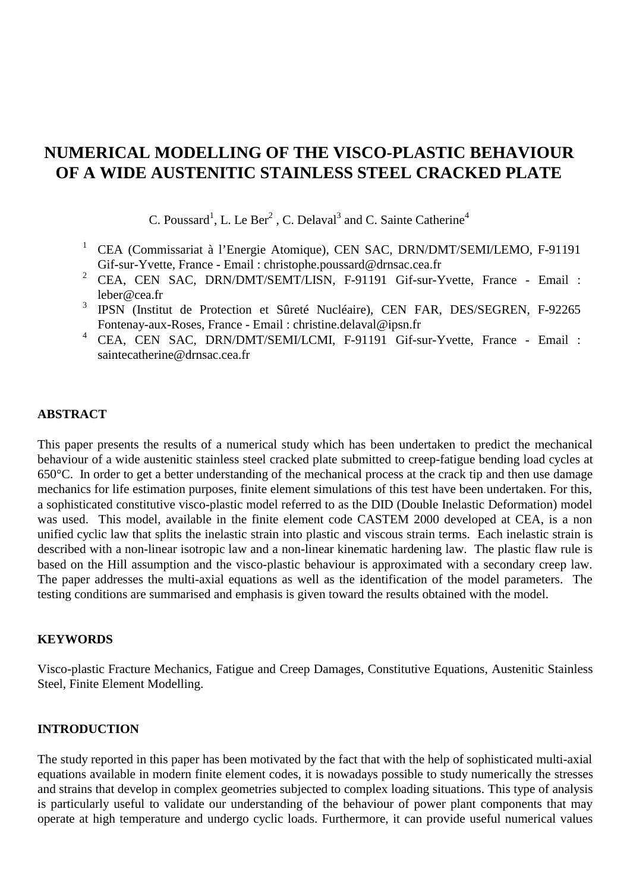# **NUMERICAL MODELLING OF THE VISCO-PLASTIC BEHAVIOUR OF A WIDE AUSTENITIC STAINLESS STEEL CRACKED PLATE**

C. Poussard<sup>1</sup>, L. Le Ber<sup>2</sup>, C. Delaval<sup>3</sup> and C. Sainte Catherine<sup>4</sup>

- <sup>1</sup> CEA (Commissariat à l'Energie Atomique), CEN SAC, DRN/DMT/SEMI/LEMO, F-91191 Gif-sur-Yvette, France - Email : christophe.poussard@drnsac.cea.fr
- <sup>2</sup> CEA, CEN SAC, DRN/DMT/SEMT/LISN, F-91191 Gif-sur-Yvette, France Email : leber@cea.fr
- <sup>3</sup> IPSN (Institut de Protection et Sûreté Nucléaire), CEN FAR, DES/SEGREN, F-92265 Fontenay-aux-Roses, France - Email : christine.delaval@ipsn.fr
- <sup>4</sup> CEA, CEN SAC, DRN/DMT/SEMI/LCMI, F-91191 Gif-sur-Yvette, France Email : saintecatherine@drnsac.cea.fr

# **ABSTRACT**

This paper presents the results of a numerical study which has been undertaken to predict the mechanical behaviour of a wide austenitic stainless steel cracked plate submitted to creep-fatigue bending load cycles at 650°C. In order to get a better understanding of the mechanical process at the crack tip and then use damage mechanics for life estimation purposes, finite element simulations of this test have been undertaken. For this, a sophisticated constitutive visco-plastic model referred to as the DID (Double Inelastic Deformation) model was used. This model, available in the finite element code CASTEM 2000 developed at CEA, is a non unified cyclic law that splits the inelastic strain into plastic and viscous strain terms. Each inelastic strain is described with a non-linear isotropic law and a non-linear kinematic hardening law. The plastic flaw rule is based on the Hill assumption and the visco-plastic behaviour is approximated with a secondary creep law. The paper addresses the multi-axial equations as well as the identification of the model parameters. The testing conditions are summarised and emphasis is given toward the results obtained with the model.

### **KEYWORDS**

Visco-plastic Fracture Mechanics, Fatigue and Creep Damages, Constitutive Equations, Austenitic Stainless Steel, Finite Element Modelling.

# **INTRODUCTION**

The study reported in this paper has been motivated by the fact that with the help of sophisticated multi-axial equations available in modern finite element codes, it is nowadays possible to study numerically the stresses and strains that develop in complex geometries subjected to complex loading situations. This type of analysis is particularly useful to validate our understanding of the behaviour of power plant components that may operate at high temperature and undergo cyclic loads. Furthermore, it can provide useful numerical values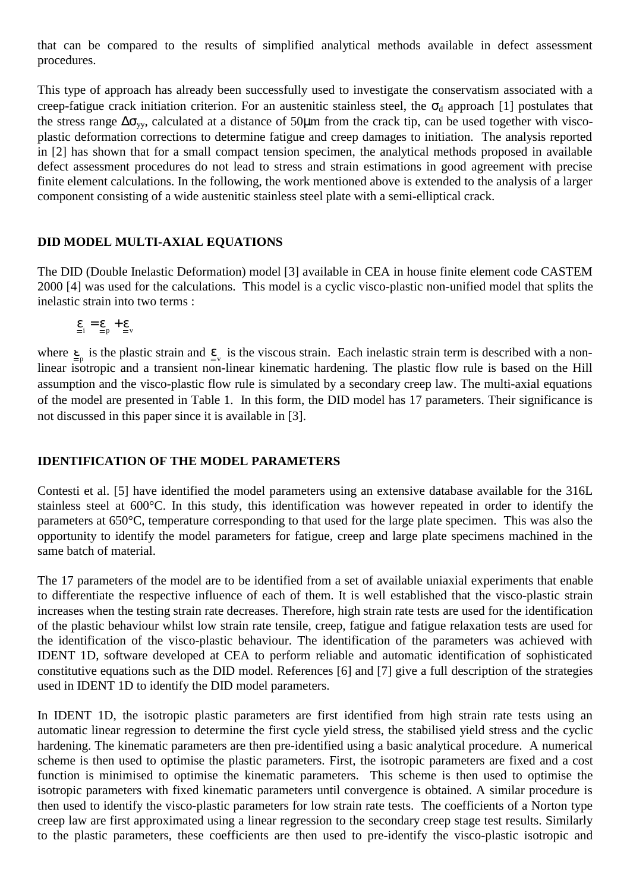that can be compared to the results of simplified analytical methods available in defect assessment procedures.

This type of approach has already been successfully used to investigate the conservatism associated with a creep-fatigue crack initiation criterion. For an austenitic stainless steel, the  $\sigma_d$  approach [1] postulates that the stress range  $\Delta\sigma_{vv}$ , calculated at a distance of 50µm from the crack tip, can be used together with viscoplastic deformation corrections to determine fatigue and creep damages to initiation. The analysis reported in [2] has shown that for a small compact tension specimen, the analytical methods proposed in available defect assessment procedures do not lead to stress and strain estimations in good agreement with precise finite element calculations. In the following, the work mentioned above is extended to the analysis of a larger component consisting of a wide austenitic stainless steel plate with a semi-elliptical crack.

# **DID MODEL MULTI-AXIAL EQUATIONS**

The DID (Double Inelastic Deformation) model [3] available in CEA in house finite element code CASTEM 2000 [4] was used for the calculations. This model is a cyclic visco-plastic non-unified model that splits the inelastic strain into two terms :

 $\underline{\epsilon}_{i} = \underline{\epsilon}_{n} + \underline{\epsilon}_{v}$ 

where  $\underline{\epsilon}_{p}$  is the plastic strain and  $\underline{\epsilon}_{v}$  is the viscous strain. Each inelastic strain term is described with a nonlinear isotropic and a transient non-linear kinematic hardening. The plastic flow rule is based on the Hill assumption and the visco-plastic flow rule is simulated by a secondary creep law. The multi-axial equations of the model are presented in Table 1. In this form, the DID model has 17 parameters. Their significance is not discussed in this paper since it is available in [3].

### **IDENTIFICATION OF THE MODEL PARAMETERS**

Contesti et al. [5] have identified the model parameters using an extensive database available for the 316L stainless steel at 600°C. In this study, this identification was however repeated in order to identify the parameters at 650°C, temperature corresponding to that used for the large plate specimen. This was also the opportunity to identify the model parameters for fatigue, creep and large plate specimens machined in the same batch of material.

The 17 parameters of the model are to be identified from a set of available uniaxial experiments that enable to differentiate the respective influence of each of them. It is well established that the visco-plastic strain increases when the testing strain rate decreases. Therefore, high strain rate tests are used for the identification of the plastic behaviour whilst low strain rate tensile, creep, fatigue and fatigue relaxation tests are used for the identification of the visco-plastic behaviour. The identification of the parameters was achieved with IDENT 1D, software developed at CEA to perform reliable and automatic identification of sophisticated constitutive equations such as the DID model. References [6] and [7] give a full description of the strategies used in IDENT 1D to identify the DID model parameters.

In IDENT 1D, the isotropic plastic parameters are first identified from high strain rate tests using an automatic linear regression to determine the first cycle yield stress, the stabilised yield stress and the cyclic hardening. The kinematic parameters are then pre-identified using a basic analytical procedure. A numerical scheme is then used to optimise the plastic parameters. First, the isotropic parameters are fixed and a cost function is minimised to optimise the kinematic parameters. This scheme is then used to optimise the isotropic parameters with fixed kinematic parameters until convergence is obtained. A similar procedure is then used to identify the visco-plastic parameters for low strain rate tests. The coefficients of a Norton type creep law are first approximated using a linear regression to the secondary creep stage test results. Similarly to the plastic parameters, these coefficients are then used to pre-identify the visco-plastic isotropic and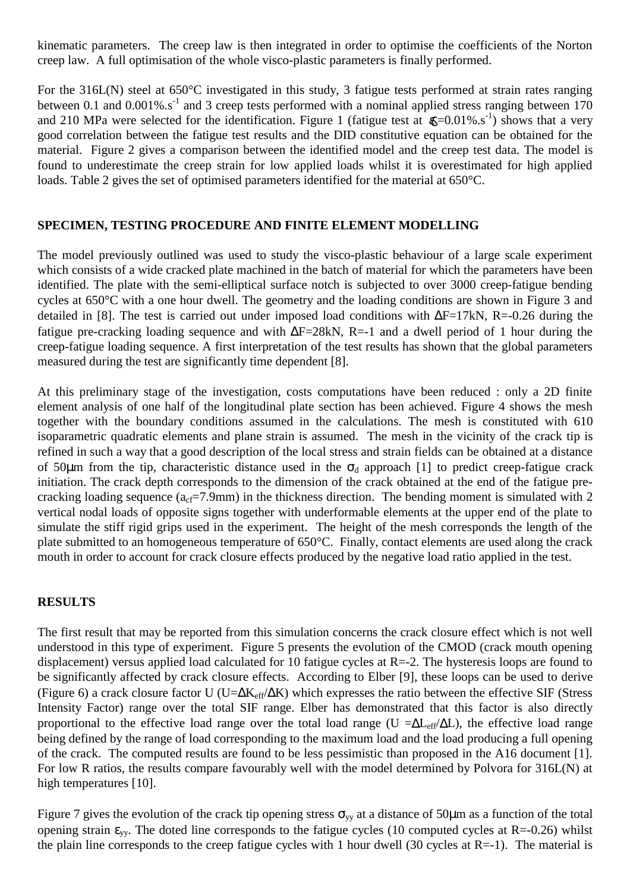kinematic parameters. The creep law is then integrated in order to optimise the coefficients of the Norton creep law. A full optimisation of the whole visco-plastic parameters is finally performed.

For the 316L(N) steel at 650°C investigated in this study, 3 fatigue tests performed at strain rates ranging between 0.1 and 0.001% s<sup>-1</sup> and 3 creep tests performed with a nominal applied stress ranging between  $170$ and 210 MPa were selected for the identification. Figure 1 (fatigue test at  $\mathbb{R}$ =0.01%.s<sup>-1</sup>) shows that a very good correlation between the fatigue test results and the DID constitutive equation can be obtained for the material. Figure 2 gives a comparison between the identified model and the creep test data. The model is found to underestimate the creep strain for low applied loads whilst it is overestimated for high applied loads. Table 2 gives the set of optimised parameters identified for the material at 650°C.

# **SPECIMEN, TESTING PROCEDURE AND FINITE ELEMENT MODELLING**

The model previously outlined was used to study the visco-plastic behaviour of a large scale experiment which consists of a wide cracked plate machined in the batch of material for which the parameters have been identified. The plate with the semi-elliptical surface notch is subjected to over 3000 creep-fatigue bending cycles at 650°C with a one hour dwell. The geometry and the loading conditions are shown in Figure 3 and detailed in [8]. The test is carried out under imposed load conditions with ∆F=17kN, R=-0.26 during the fatigue pre-cracking loading sequence and with ∆F=28kN, R=-1 and a dwell period of 1 hour during the creep-fatigue loading sequence. A first interpretation of the test results has shown that the global parameters measured during the test are significantly time dependent [8].

At this preliminary stage of the investigation, costs computations have been reduced : only a 2D finite element analysis of one half of the longitudinal plate section has been achieved. Figure 4 shows the mesh together with the boundary conditions assumed in the calculations. The mesh is constituted with 610 isoparametric quadratic elements and plane strain is assumed. The mesh in the vicinity of the crack tip is refined in such a way that a good description of the local stress and strain fields can be obtained at a distance of 50 $\mu$ m from the tip, characteristic distance used in the  $\sigma_d$  approach [1] to predict creep-fatigue crack initiation. The crack depth corresponds to the dimension of the crack obtained at the end of the fatigue precracking loading sequence ( $a_{cf}=7.9$ mm) in the thickness direction. The bending moment is simulated with 2 vertical nodal loads of opposite signs together with underformable elements at the upper end of the plate to simulate the stiff rigid grips used in the experiment. The height of the mesh corresponds the length of the plate submitted to an homogeneous temperature of 650°C. Finally, contact elements are used along the crack mouth in order to account for crack closure effects produced by the negative load ratio applied in the test.

#### **RESULTS**

The first result that may be reported from this simulation concerns the crack closure effect which is not well understood in this type of experiment. Figure 5 presents the evolution of the CMOD (crack mouth opening displacement) versus applied load calculated for 10 fatigue cycles at R=-2. The hysteresis loops are found to be significantly affected by crack closure effects. According to Elber [9], these loops can be used to derive (Figure 6) a crack closure factor U (U= $\Delta K_{eff}/\Delta K$ ) which expresses the ratio between the effective SIF (Stress Intensity Factor) range over the total SIF range. Elber has demonstrated that this factor is also directly proportional to the effective load range over the total load range (U = $\Delta L_{eff}/\Delta L$ ), the effective load range being defined by the range of load corresponding to the maximum load and the load producing a full opening of the crack. The computed results are found to be less pessimistic than proposed in the A16 document [1]. For low R ratios, the results compare favourably well with the model determined by Polvora for 316L(N) at high temperatures [10].

Figure 7 gives the evolution of the crack tip opening stress  $\sigma_{yy}$  at a distance of 50 $\mu$ m as a function of the total opening strain  $\varepsilon_{vv}$ . The doted line corresponds to the fatigue cycles (10 computed cycles at R=-0.26) whilst the plain line corresponds to the creep fatigue cycles with 1 hour dwell (30 cycles at  $R=1$ ). The material is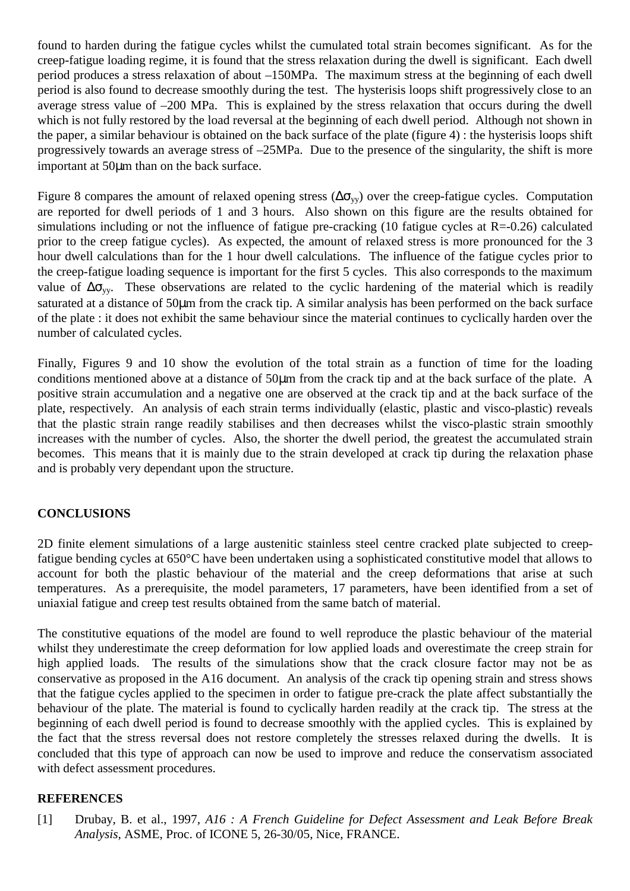found to harden during the fatigue cycles whilst the cumulated total strain becomes significant. As for the creep-fatigue loading regime, it is found that the stress relaxation during the dwell is significant. Each dwell period produces a stress relaxation of about –150MPa. The maximum stress at the beginning of each dwell period is also found to decrease smoothly during the test. The hysterisis loops shift progressively close to an average stress value of –200 MPa. This is explained by the stress relaxation that occurs during the dwell which is not fully restored by the load reversal at the beginning of each dwell period. Although not shown in the paper, a similar behaviour is obtained on the back surface of the plate (figure 4) : the hysterisis loops shift progressively towards an average stress of –25MPa. Due to the presence of the singularity, the shift is more important at 50µm than on the back surface.

Figure 8 compares the amount of relaxed opening stress ( $\Delta \sigma_{yy}$ ) over the creep-fatigue cycles. Computation are reported for dwell periods of 1 and 3 hours. Also shown on this figure are the results obtained for simulations including or not the influence of fatigue pre-cracking (10 fatigue cycles at  $R = -0.26$ ) calculated prior to the creep fatigue cycles). As expected, the amount of relaxed stress is more pronounced for the 3 hour dwell calculations than for the 1 hour dwell calculations. The influence of the fatigue cycles prior to the creep-fatigue loading sequence is important for the first 5 cycles. This also corresponds to the maximum value of  $\Delta\sigma_{\rm vv}$ . These observations are related to the cyclic hardening of the material which is readily saturated at a distance of 50µm from the crack tip. A similar analysis has been performed on the back surface of the plate : it does not exhibit the same behaviour since the material continues to cyclically harden over the number of calculated cycles.

Finally, Figures 9 and 10 show the evolution of the total strain as a function of time for the loading conditions mentioned above at a distance of 50µm from the crack tip and at the back surface of the plate. A positive strain accumulation and a negative one are observed at the crack tip and at the back surface of the plate, respectively. An analysis of each strain terms individually (elastic, plastic and visco-plastic) reveals that the plastic strain range readily stabilises and then decreases whilst the visco-plastic strain smoothly increases with the number of cycles. Also, the shorter the dwell period, the greatest the accumulated strain becomes. This means that it is mainly due to the strain developed at crack tip during the relaxation phase and is probably very dependant upon the structure.

# **CONCLUSIONS**

2D finite element simulations of a large austenitic stainless steel centre cracked plate subjected to creepfatigue bending cycles at 650°C have been undertaken using a sophisticated constitutive model that allows to account for both the plastic behaviour of the material and the creep deformations that arise at such temperatures. As a prerequisite, the model parameters, 17 parameters, have been identified from a set of uniaxial fatigue and creep test results obtained from the same batch of material.

The constitutive equations of the model are found to well reproduce the plastic behaviour of the material whilst they underestimate the creep deformation for low applied loads and overestimate the creep strain for high applied loads. The results of the simulations show that the crack closure factor may not be as conservative as proposed in the A16 document. An analysis of the crack tip opening strain and stress shows that the fatigue cycles applied to the specimen in order to fatigue pre-crack the plate affect substantially the behaviour of the plate. The material is found to cyclically harden readily at the crack tip. The stress at the beginning of each dwell period is found to decrease smoothly with the applied cycles. This is explained by the fact that the stress reversal does not restore completely the stresses relaxed during the dwells. It is concluded that this type of approach can now be used to improve and reduce the conservatism associated with defect assessment procedures.

### **REFERENCES**

[1] Drubay, B. et al., 1997*, A16 : A French Guideline for Defect Assessment and Leak Before Break Analysis*, ASME, Proc. of ICONE 5, 26-30/05, Nice, FRANCE.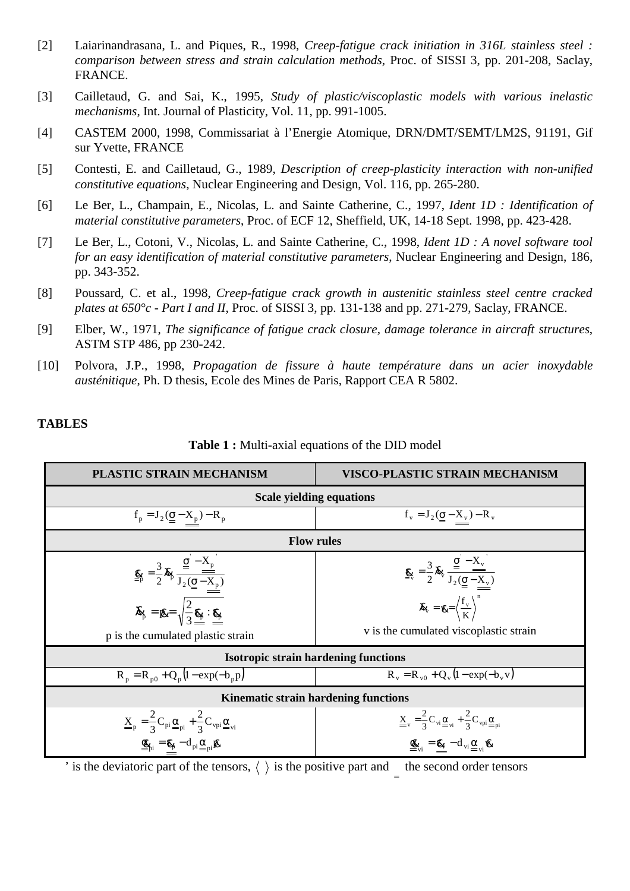- [2] Laiarinandrasana, L. and Piques, R., 1998, *Creep-fatigue crack initiation in 316L stainless steel : comparison between stress and strain calculation methods*, Proc. of SISSI 3, pp. 201-208, Saclay, FRANCE.
- [3] Cailletaud, G. and Sai, K., 1995, *Study of plastic/viscoplastic models with various inelastic mechanisms*, Int. Journal of Plasticity, Vol. 11, pp. 991-1005.
- [4] CASTEM 2000, 1998, Commissariat à l'Energie Atomique, DRN/DMT/SEMT/LM2S, 91191, Gif sur Yvette, FRANCE
- [5] Contesti, E. and Cailletaud, G., 1989, *Description of creep-plasticity interaction with non-unified constitutive equations*, Nuclear Engineering and Design, Vol. 116, pp. 265-280.
- [6] Le Ber, L., Champain, E., Nicolas, L. and Sainte Catherine, C., 1997, *Ident 1D : Identification of material constitutive parameters*, Proc. of ECF 12, Sheffield, UK, 14-18 Sept. 1998, pp. 423-428.
- [7] Le Ber, L., Cotoni, V., Nicolas, L. and Sainte Catherine, C., 1998, *Ident 1D : A novel software tool for an easy identification of material constitutive parameters*, Nuclear Engineering and Design, 186, pp. 343-352.
- [8] Poussard, C. et al., 1998, *Creep-fatigue crack growth in austenitic stainless steel centre cracked plates at 650°c - Part I and II*, Proc. of SISSI 3, pp. 131-138 and pp. 271-279, Saclay, FRANCE.
- [9] Elber, W., 1971, *The significance of fatigue crack closure, damage tolerance in aircraft structures*, ASTM STP 486, pp 230-242.
- [10] Polvora, J.P., 1998, *Propagation de fissure à haute température dans un acier inoxydable austénitique*, Ph. D thesis, Ecole des Mines de Paris, Rapport CEA R 5802.

# **TABLES**

| <b>Table 1:</b> Multi-axial equations of the DID model |
|--------------------------------------------------------|
|--------------------------------------------------------|

| PLASTIC STRAIN MECHANISM                                                                                                                                                                                                                                                                                                                                                                           | <b>VISCO-PLASTIC STRAIN MECHANISM</b>                                                                                                                                  |  |  |  |  |  |  |  |
|----------------------------------------------------------------------------------------------------------------------------------------------------------------------------------------------------------------------------------------------------------------------------------------------------------------------------------------------------------------------------------------------------|------------------------------------------------------------------------------------------------------------------------------------------------------------------------|--|--|--|--|--|--|--|
| <b>Scale yielding equations</b>                                                                                                                                                                                                                                                                                                                                                                    |                                                                                                                                                                        |  |  |  |  |  |  |  |
| $f_p = J_2(\underline{\underline{\sigma}} - \underline{X}_p) - R_p$                                                                                                                                                                                                                                                                                                                                | $f_v = J_2(\underline{\underline{\sigma}} - \underline{X}_v) - R_v$                                                                                                    |  |  |  |  |  |  |  |
| <b>Flow rules</b>                                                                                                                                                                                                                                                                                                                                                                                  |                                                                                                                                                                        |  |  |  |  |  |  |  |
| $\mathbf{g}_{\beta} = \frac{3}{2} \mathbf{\hat{x}}_{\beta} \frac{\underline{\underline{\mathbf{g}}^{\mathsf{-}} - \mathbf{X}_{\mathrm{p}}^{\mathsf{-}}}}{\mathbf{J}_{2}(\underline{\underline{\mathbf{g}}^{\mathsf{-}} - \mathbf{X}_{\mathrm{p}}^{\mathsf{-}}}}$<br>$\mathbf{\hat{x}}_{\beta} = \mathbf{g}_{\beta} = \sqrt{\frac{2}{3} \mathbf{g}_{\beta} \cdot \mathbf{g}_{\beta}^{\mathsf{-}}}}$ | $\mathbf{g}_{\mathbf{z}} = \frac{3}{2} \mathbf{X}_{\mathbf{y}} \frac{\mathbf{g} - \mathbf{X}_{\mathbf{y}}}{\mathbf{J}_{2}(\sigma - \mathbf{X}_{\mathbf{y}})}$          |  |  |  |  |  |  |  |
| p is the cumulated plastic strain                                                                                                                                                                                                                                                                                                                                                                  | $\chi_{\overline{v}} = \chi = \left\langle \frac{f_{v}}{K} \right\rangle^{n}$<br>v is the cumulated viscoplastic strain                                                |  |  |  |  |  |  |  |
| <b>Isotropic strain hardening functions</b>                                                                                                                                                                                                                                                                                                                                                        |                                                                                                                                                                        |  |  |  |  |  |  |  |
|                                                                                                                                                                                                                                                                                                                                                                                                    |                                                                                                                                                                        |  |  |  |  |  |  |  |
| $R_p = R_{p0} + Q_p (1 - exp(-b_p p))$                                                                                                                                                                                                                                                                                                                                                             | $R_v = R_{v0} + Q_v (1 - exp(-b_v v))$                                                                                                                                 |  |  |  |  |  |  |  |
| <b>Kinematic strain hardening functions</b>                                                                                                                                                                                                                                                                                                                                                        |                                                                                                                                                                        |  |  |  |  |  |  |  |
| $\underline{\underline{X}}_p = \frac{2}{3} C_{pi} \underline{\underline{\alpha}}_{pi} + \frac{2}{3} C_{vpi} \underline{\underline{\alpha}}_{vi}$                                                                                                                                                                                                                                                   | $\underline{\underline{X}}_{\rm v} = \frac{2}{3} C_{\rm vi} \underline{\underline{\alpha}}_{\rm vi} + \frac{2}{3} C_{\rm vpi} \underline{\underline{\alpha}}_{\rm pi}$ |  |  |  |  |  |  |  |
| $\underline{\mathscr{L}}_{pi} = \mathscr{E}_{\beta} - d_{pi} \underline{\alpha}_{pi} \mathscr{L}$                                                                                                                                                                                                                                                                                                  | $\underline{\mathbf{Q}}_{vi} = \underline{\mathbf{R}}_{vi} - d_{vi} \underline{\alpha}_{vi} \underline{\mathbf{W}}$                                                    |  |  |  |  |  |  |  |

' is the deviatoric part of the tensors,  $\langle \ \rangle$  is the positive part and the second order tensors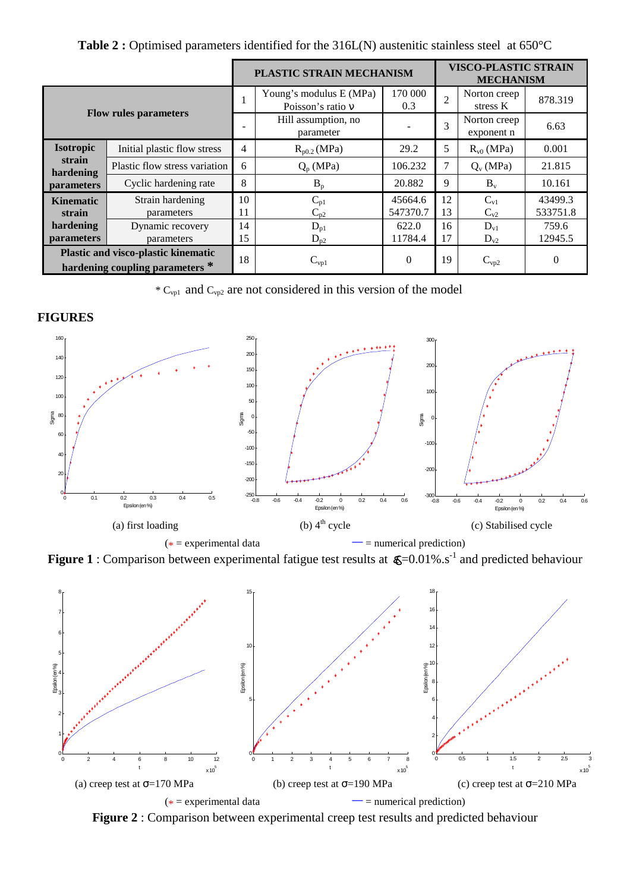|                                                                               |                               | PLASTIC STRAIN MECHANISM |                                              | <b>VISCO-PLASTIC STRAIN</b><br><b>MECHANISM</b> |                |                            |          |
|-------------------------------------------------------------------------------|-------------------------------|--------------------------|----------------------------------------------|-------------------------------------------------|----------------|----------------------------|----------|
| <b>Flow rules parameters</b>                                                  |                               |                          | Young's modulus E (MPa)<br>Poisson's ratio v | 170 000<br>0.3                                  | $\overline{2}$ | Norton creep<br>stress K   | 878.319  |
|                                                                               |                               |                          | Hill assumption, no<br>parameter             |                                                 | $\overline{3}$ | Norton creep<br>exponent n | 6.63     |
| <b>Isotropic</b>                                                              | Initial plastic flow stress   | 4                        | $R_{p0.2}$ (MPa)                             | 29.2                                            | 5              | $R_{v0}$ (MPa)             | 0.001    |
| strain<br>hardening                                                           | Plastic flow stress variation | 6                        | $Q_p(MPa)$                                   | 106.232                                         | 7              | $Q_v$ (MPa)                | 21.815   |
| <b>parameters</b>                                                             | Cyclic hardening rate         | 8                        | $B_p$                                        | 20.882                                          | 9              | $B_v$                      | 10.161   |
| <b>Kinematic</b>                                                              | Strain hardening              | 10                       | $C_{p1}$                                     | 45664.6                                         | 12             | $C_{\rm v1}$               | 43499.3  |
| strain                                                                        | parameters                    | 11                       | $C_{p2}$                                     | 547370.7                                        | 13             | $C_{v2}$                   | 533751.8 |
| hardening                                                                     | Dynamic recovery              | 14                       | $D_{p1}$                                     | 622.0                                           | 16             | $D_{v1}$                   | 759.6    |
| <i>parameters</i>                                                             | parameters                    | 15                       | $D_{p2}$                                     | 11784.4                                         | 17             | $D_{v2}$                   | 12945.5  |
| <b>Plastic and visco-plastic kinematic</b><br>hardening coupling parameters * |                               | 18                       | $\rm C_{vp1}$                                | $\overline{0}$                                  | 19             | $C_{vp2}$                  | $\Omega$ |

**Table 2 :** Optimised parameters identified for the 316L(N) austenitic stainless steel at 650°C

 $^*$  C<sub>vp1</sub> and C<sub>vp2</sub> are not considered in this version of the model

### **FIGURES**



**Figure 1** : Comparison between experimental fatigue test results at  $\mathbf{g} = 0.01\%$ .s<sup>-1</sup> and predicted behaviour



**Figure 2** : Comparison between experimental creep test results and predicted behaviour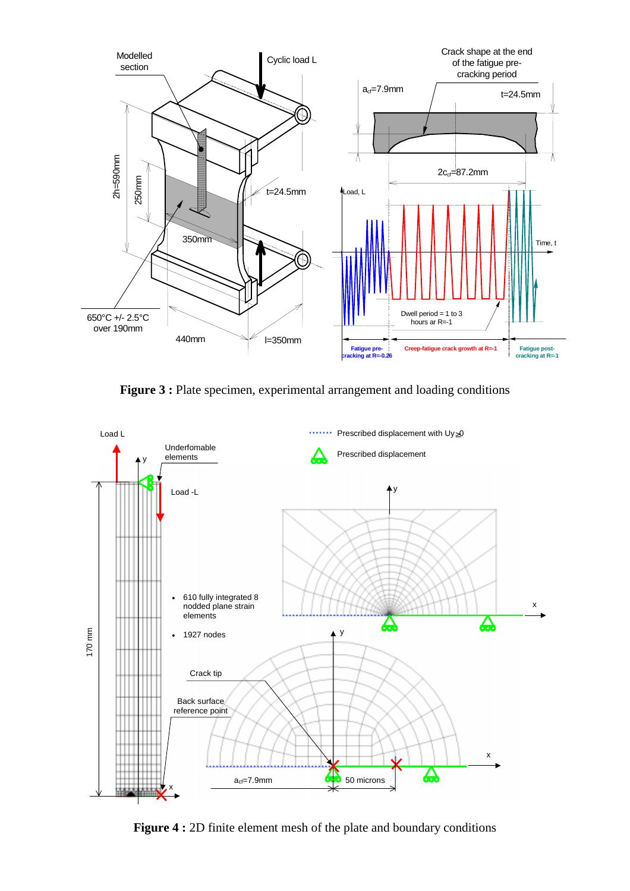

**Figure 3 :** Plate specimen, experimental arrangement and loading conditions



**Figure 4 :** 2D finite element mesh of the plate and boundary conditions